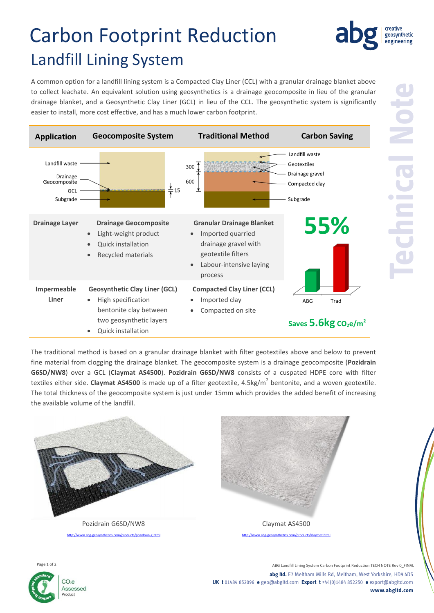# Carbon Footprint Reduction Landfill Lining System

A common option for a landfill lining system is a Compacted Clay Liner (CCL) with a granular drainage blanket above to collect leachate. An equivalent solution using geosynthetics is a drainage geocomposite in lieu of the granular drainage blanket, and a Geosynthetic Clay Liner (GCL) in lieu of the CCL. The geosynthetic system is significantly easier to install, more cost effective, and has a much lower carbon footprint.



**Technical Note**

The traditional method is based on a granular drainage blanket with filter geotextiles above and below to prevent fine material from clogging the drainage blanket. The geocomposite system is a drainage geocomposite (**Pozidrain G6SD/NW8**) over a GCL (**Claymat AS4500**). **Pozidrain G6SD/NW8** consists of a cuspated HDPE core with filter textiles either side. Claymat AS4500 is made up of a filter geotextile, 4.5kg/m<sup>2</sup> bentonite, and a woven geotextile. The total thickness of the geocomposite system is just under 15mm which provides the added benefit of increasing the available volume of the landfill.





ABG Landfill Lining System Carbon Footprint Reduction TECH NOTE Rev 0\_FINAL **abg ltd.** E7 Meltham Mills Rd, Meltham, West Yorkshire, HD9 4DS **UK t** 01484 852096 **e** geo@abgltd.com **Export t** +44(0)1484 852250 **e** export@abgltd.com **www.abgltd.com**



creative